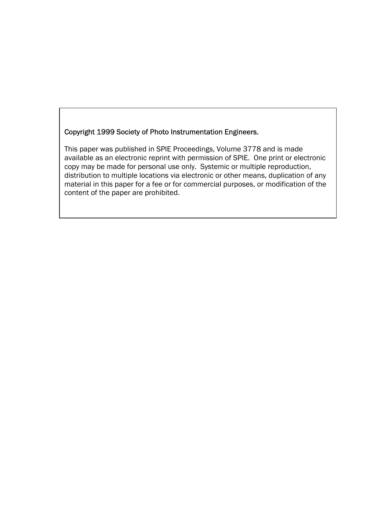# Copyright 1999 Society of Photo Instrumentation Engineers.

This paper was published in SPIE Proceedings, Volume 3778 and is made available as an electronic reprint with permission of SPIE. One print or electronic copy may be made for personal use only. Systemic or multiple reproduction, distribution to multiple locations via electronic or other means, duplication of any material in this paper for a fee or for commercial purposes, or modification of the content of the paper are prohibited.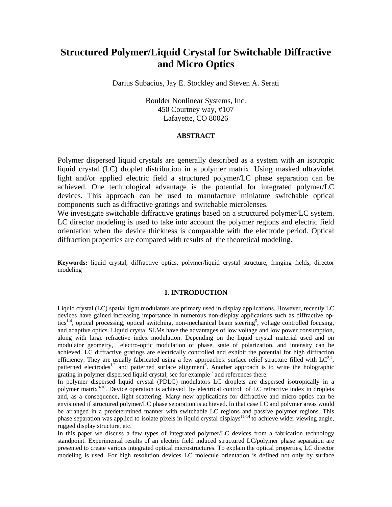# **Structured Polymer/Liquid Crystal for Switchable Diffractive and Micro Optics**

Darius Subacius, Jay E. Stockley and Steven A. Serati

Boulder Nonlinear Systems, Inc. 450 Courtney way, #107 Lafayette, CO 80026

# **ABSTRACT**

Polymer dispersed liquid crystals are generally described as a system with an isotropic liquid crystal (LC) droplet distribution in a polymer matrix. Using masked ultraviolet light and/or applied electric field a structured polymer/LC phase separation can be achieved. One technological advantage is the potential for integrated polymer/LC devices. This approach can be used to manufacture miniature switchable optical components such as diffractive gratings and switchable microlenses.

We investigate switchable diffractive gratings based on a structured polymer/LC system. LC director modeling is used to take into account the polymer regions and electric field orientation when the device thickness is comparable with the electrode period. Optical diffraction properties are compared with results of the theoretical modeling.

**Keywords:** liquid crystal, diffractive optics, polymer/liquid crystal structure, fringing fields, director modeling

# **1. INTRODUCTION**

Liquid crystal (LC) spatial light modulators are primary used in display applications. However, recently LC devices have gained increasing importance in numerous non-display applications such as diffractive optics<sup>1-4</sup>, optical processing, optical switching, non-mechanical beam steering<sup>5</sup>, voltage controlled focusing, and adaptive optics. Liquid crystal SLMs have the advantages of low voltage and low power consumption, along with large refractive index modulation. Depending on the liquid crystal material used and on modulator geometry, electro-optic modulation of phase, state of polarization, and intensity can be achieved. LC diffractive gratings are electrically controlled and exhibit the potential for high diffraction efficiency. They are usually fabricated using a few approaches: surface relief structure filled with  $LC^{3,4}$ , patterned electrodes<sup>1,2</sup> and patterned surface alignment<sup>6</sup>. Another approach is to write the holographic grating in polymer dispersed liquid crystal, see for example  $\frac{7}{2}$  and references there.

In polymer dispersed liquid crystal (PDLC) modulators LC droplets are dispersed isotropically in a polymer matrix<sup>8-10</sup>. Device operation is achieved by electrical control of LC refractive index in droplets and, as a consequence, light scattering. Many new applications for diffractive and micro-optics can be envisioned if structured polymer/LC phase separation is achieved. In that case LC and polymer areas would be arranged in a predetermined manner with switchable LC regions and passive polymer regions. This phase separation was applied to isolate pixels in liquid crystal displays<sup>11-14</sup> to achieve wider viewing angle, rugged display structure, etc.

In this paper we discuss a few types of integrated polymer/LC devices from a fabrication technology standpoint. Experimental results of an electric field induced structured LC/polymer phase separation are presented to create various integrated optical microstructures. To explain the optical properties, LC director modeling is used. For high resolution devices LC molecule orientation is defined not only by surface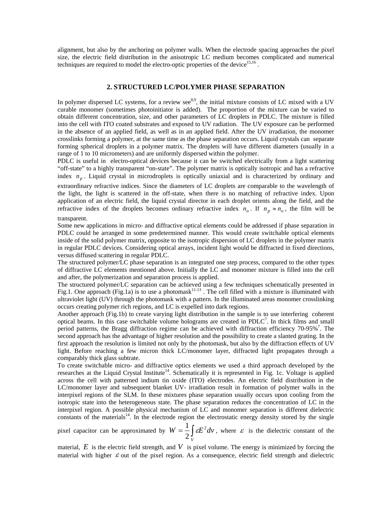alignment, but also by the anchoring on polymer walls. When the electrode spacing approaches the pixel size, the electric field distribution in the anisotropic LC medium becomes complicated and numerical techniques are required to model the electro-optic properties of the device $15,16$ .

# **2. STRUCTURED LC/POLYMER PHASE SEPARATION**

In polymer dispersed LC systems, for a review see<sup>8,9</sup>, the initial mixture consists of LC mixed with a UV curable monomer (sometimes photoinitiator is added). The proportion of the mixture can be varied to obtain different concentration, size, and other parameters of LC droplets in PDLC. The mixture is filled into the cell with ITO coated substrates and exposed to UV radiation. The UV exposure can be performed in the absence of an applied field, as well as in an applied field. After the UV irradiation, the monomer crosslinks forming a polymer, at the same time as the phase separation occurs. Liquid crystals can separate forming spherical droplets in a polymer matrix. The droplets will have different diameters (usually in a range of 1 to 10 micrometers) and are uniformly dispersed within the polymer.

PDLC is useful in electro-optical devices because it can be switched electrically from a light scattering "off-state" to a highly transparent "on-state". The polymer matrix is optically isotropic and has a refractive index *n<sub>p</sub>*. Liquid crystal in microdroplets is optically uniaxial and is characterized by ordinary and extraordinary refractive indices. Since the diameters of LC droplets are comparable to the wavelength of

the light, the light is scattered in the off-state, when there is no matching of refractive index. Upon application of an electric field, the liquid crystal director in each droplet orients along the field, and the refractive index of the droplets becomes ordinary refractive index  $n<sub>o</sub>$ . If  $n<sub>n</sub> \approx n<sub>o</sub>$ , the film will be transparent.

Some new applications in micro- and diffractive optical elements could be addressed if phase separation in PDLC could be arranged in some predetermined manner. This would create switchable optical elements inside of the solid polymer matrix, opposite to the isotropic dispersion of LC droplets in the polymer matrix in regular PDLC devices. Considering optical arrays, incident light would be diffracted in fixed directions, versus diffused scattering in regular PDLC.

The structured polymer/LC phase separation is an integrated one step process, compared to the other types of diffractive LC elements mentioned above. Initially the LC and monomer mixture is filled into the cell and after, the polymerization and separation process is applied.

The structured polymer/LC separation can be achieved using a few techniques schematically presented in Fig.1. One approach (Fig.1a) is to use a photomask<sup>11-13</sup>. The cell filled with a mixture is illuminated with ultraviolet light (UV) through the photomask with a pattern. In the illuminated areas monomer crosslinking occurs creating polymer rich regions, and LC is expelled into dark regions.

Another approach (Fig.1b) to create varying light distribution in the sample is to use interfering coherent optical beams. In this case switchable volume holograms are created in  $PDLC<sup>7</sup>$ . In thick films and small period patterns, the Bragg diffraction regime can be achieved with diffraction efficiency 70-95%<sup>7</sup>. The second approach has the advantage of higher resolution and the possibility to create a slanted grating. In the first approach the resolution is limited not only by the photomask, but also by the diffraction effects of UV light. Before reaching a few micron thick LC/monomer layer, diffracted light propagates through a comparably thick glass subtrate.

To create switchable micro- and diffractive optics elements we used a third approach developed by the researches at the Liquid Crystal Institute<sup>14</sup>. Schematically it is represented in Fig. 1c. Voltage is applied across the cell with patterned indium tin oxide (ITO) electrodes. An electric field distribution in the LC/monomer layer and subsequent blanket UV- irradiation result in formation of polymer walls in the interpixel regions of the SLM. In these mixtures phase separation usually occurs upon cooling from the isotropic state into the heterogeneous state. The phase separation reduces the concentration of LC in the interpixel region. A possible physical mechanism of LC and monomer separation is different dielectric constants of the materials<sup>14</sup>. In the electrode region the electrostatic energy density stored by the single

pixel capacitor can be approximated by  $W = \frac{1}{2} \int_{V}$  $W = \frac{1}{2} \int \varepsilon E^2 dv$ 2  $\frac{1}{\epsilon} \int \mathcal{E} E^2 dv$ , where  $\mathcal{E}$  is the dielectric constant of the

material,  $E$  is the electric field strength, and  $V$  is pixel volume. The energy is minimized by forcing the material with higher  $\varepsilon$  out of the pixel region. As a consequence, electric field strength and dielectric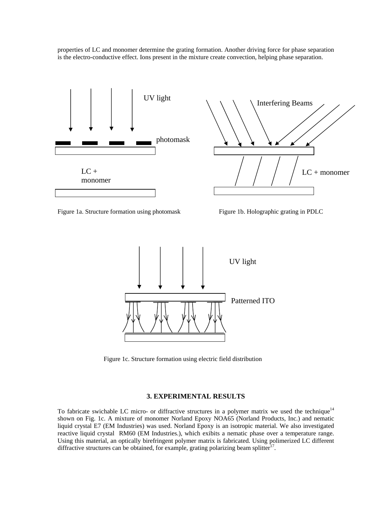properties of LC and monomer determine the grating formation. Another driving force for phase separation is the electro-conductive effect. Ions present in the mixture create convection, helping phase separation.



Figure 1a. Structure formation using photomask Figure 1b. Holographic grating in PDLC



Figure 1c. Structure formation using electric field distribution

# **3. EXPERIMENTAL RESULTS**

To fabricate swichable LC micro- or diffractive structures in a polymer matrix we used the technique<sup>14</sup> shown on Fig. 1c. A mixture of monomer Norland Epoxy NOA65 (Norland Products, Inc.) and nematic liquid crystal E7 (EM Industries) was used. Norland Epoxy is an isotropic material. We also investigated reactive liquid crystal RM60 (EM Industries.), which exibits a nematic phase over a temperature range. Using this material, an optically birefringent polymer matrix is fabricated. Using polimerized LC different diffractive structures can be obtained, for example, grating polarizing beam splitter<sup>17</sup>.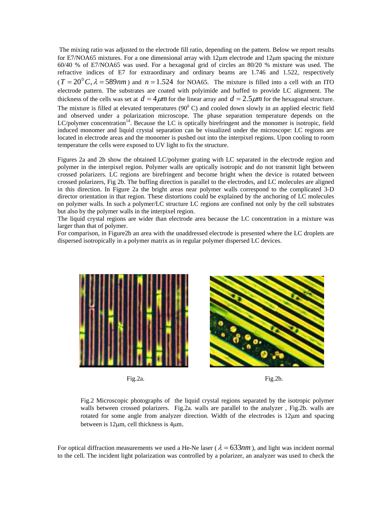The mixing ratio was adjusted to the electrode fill ratio, depending on the pattern. Below we report results for E7/NOA65 mixtures. For a one dimensional array with 12µm electrode and 12µm spacing the mixture 60/40 % of E7/NOA65 was used. For a hexagonal grid of circles an 80/20 % mixture was used. The refractive indices of E7 for extraordinary and ordinary beams are 1.746 and 1.522, respectively  $(T = 20^{\circ}C, \lambda = 589nm)$  and  $n = 1.524$  for NOA65. The mixture is filled into a cell with an ITO electrode pattern. The substrates are coated with polyimide and buffed to provide LC alignment. The thickness of the cells was set at  $d = 4 \mu m$  for the linear array and  $d = 2.5 \mu m$  for the hexagonal structure. The mixture is filled at elevated temperatures  $(90^{\circ}$  C) and cooled down slowly in an applied electric field and observed under a polarization microscope. The phase separation temperature depends on the LC/polymer concentration<sup>14</sup>. Because the LC is optically birefringent and the monomer is isotropic, field induced monomer and liquid crystal separation can be visualized under the microscope: LC regions are located in electrode areas and the monomer is pushed out into the interpixel regions. Upon cooling to room temperature the cells were exposed to UV light to fix the structure.

Figures 2a and 2b show the obtained LC/polymer grating with LC separated in the electrode region and polymer in the interpixel region. Polymer walls are optically isotropic and do not transmit light between crossed polarizers. LC regions are birefringent and become bright when the device is rotated between crossed polarizers, Fig 2b. The buffing direction is parallel to the electrodes, and LC molecules are aligned in this direction. In Figure 2a the bright areas near polymer walls correspond to the complicated 3-D director orientation in that region. These distortions could be explained by the anchoring of LC molecules on polymer walls. In such a polymer/LC structure LC regions are confined not only by the cell substrates but also by the polymer walls in the interpixel region.

The liquid crystal regions are wider than electrode area because the LC concentration in a mixture was larger than that of polymer.

For comparison, in Figure2b an area with the unaddressed electrode is presented where the LC droplets are dispersed isotropically in a polymer matrix as in regular polymer dispersed LC devices.





 $Fig.2a.$  Fig.2b.

Fig.2 Microscopic photographs of the liquid crystal regions separated by the isotropic polymer walls between crossed polarizers. Fig.2a. walls are parallel to the analyzer , Fig.2b. walls are rotated for some angle from analyzer direction. Width of the electrodes is  $12\mu m$  and spacing between is 12µm, cell thickness is 4µm.

For optical diffraction measurements we used a He-Ne laser ( $\lambda = 633nm$ ), and light was incident normal to the cell. The incident light polarization was controlled by a polarizer, an analyzer was used to check the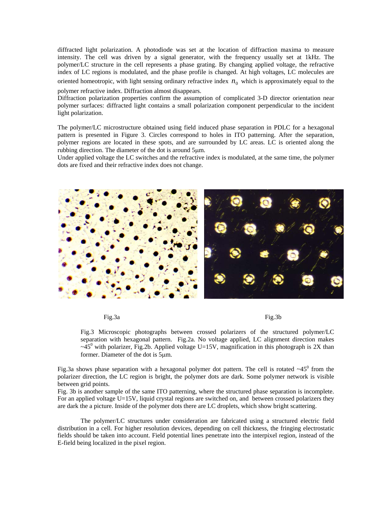diffracted light polarization. A photodiode was set at the location of diffraction maxima to measure intensity. The cell was driven by a signal generator, with the frequency usually set at 1kHz. The polymer/LC structure in the cell represents a phase grating. By changing applied voltage, the refractive index of LC regions is modulated, and the phase profile is changed. At high voltages, LC molecules are oriented homeotropic, with light sensing ordinary refractive index  $n_0$  which is approximately equal to the

polymer refractive index. Diffraction almost disappears.

Diffraction polarization properties confirm the assumption of complicated 3-D director orientation near polymer surfaces: diffracted light contains a small polarization component perpendicular to the incident light polarization.

The polymer/LC microstructure obtained using field induced phase separation in PDLC for a hexagonal pattern is presented in Figure 3. Circles correspond to holes in ITO patterning. After the separation, polymer regions are located in these spots, and are surrounded by LC areas. LC is oriented along the rubbing direction. The diameter of the dot is around 5µm.

Under applied voltage the LC switches and the refractive index is modulated, at the same time, the polymer dots are fixed and their refractive index does not change.



Fig.3a Fig.3b

Fig.3 Microscopic photographs between crossed polarizers of the structured polymer/LC separation with hexagonal pattern. Fig.2a. No voltage applied, LC alignment direction makes  $\sim$ 45<sup>0</sup> with polarizer, Fig.2b. Applied voltage U=15V, magnification in this photograph is 2X than former. Diameter of the dot is 5µm.

Fig.3a shows phase separation with a hexagonal polymer dot pattern. The cell is rotated  $\sim$ 45<sup>0</sup> from the polarizer direction, the LC region is bright, the polymer dots are dark. Some polymer network is visible between grid points.

Fig. 3b is another sample of the same ITO patterning, where the structured phase separation is incomplete. For an applied voltage U=15V, liquid crystal regions are switched on, and between crossed polarizers they are dark the a picture. Inside of the polymer dots there are LC droplets, which show bright scattering.

 The polymer/LC structures under consideration are fabricated using a structured electric field distribution in a cell. For higher resolution devices, depending on cell thickness, the fringing electrostatic fields should be taken into account. Field potential lines penetrate into the interpixel region, instead of the E-field being localized in the pixel region.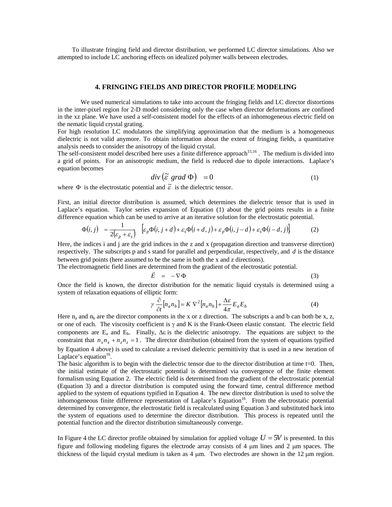To illustrate fringing field and director distribution, we performed LC director simulations. Also we attempted to include LC anchoring effects on idealized polymer walls between electrodes.

#### **4. FRINGING FIELDS AND DIRECTOR PROFILE MODELING**

 We used numerical simulations to take into account the fringing fields and LC director distortions in the inter-pixel region for 2-D model considering only the case when director deformations are confined in the xz plane. We have used a self-consistent model for the effects of an inhomogeneous electric field on the nematic liquid crystal grating.

For high resolution LC modulators the simplifying approximation that the medium is a homogeneous dielectric is not valid anymore. To obtain information about the extent of fringing fields, a quantitative analysis needs to consider the anisotropy of the liquid crystal.

The self-consistent model described here uses a finite difference approach<sup>15,16</sup>. The medium is divided into a grid of points. For an anisotropic medium, the field is reduced due to dipole interactions. Laplace's equation becomes

$$
div\left(\tilde{\varepsilon} \text{ grad } \Phi\right) = 0 \tag{1}
$$

where  $\Phi$  is the electrostatic potential and  $\tilde{\varepsilon}$  is the dielectric tensor.

First, an initial director distribution is assumed, which determines the dielectric tensor that is used in Laplace's equation. Taylor series expansion of Equation (1) about the grid points results in a finite difference equation which can be used to arrive at an iterative solution for the electrostatic potential.

$$
\Phi(i,j) = \frac{1}{2(\varepsilon_p + \varepsilon_s)} \left[ \varepsilon_p \Phi(i,j+d) + \varepsilon_s \Phi(i+d,j) + \varepsilon_p \Phi(i,j-d) + \varepsilon_s \Phi(i-d,j) \right]
$$
(2)

Here, the indices i and j are the grid indices in the z and x (propagation direction and transverse direction) respectively. The subscripts p and s stand for parallel and perpendicular, respectively, and *d* is the distance between grid points (here assumed to be the same in both the x and z directions).

The electromagnetic field lines are determined from the gradient of the electrostatic potential.

$$
\vec{E} = -\nabla \Phi
$$
 (3)

Once the field is known, the director distribution for the nematic liquid crystals is determined using a system of relaxation equations of elliptic form:

$$
\gamma \frac{\partial}{\partial t} [n_a n_b] = K \nabla^2 [n_a n_b] + \frac{\Delta \varepsilon}{4\pi} E_a E_b \tag{4}
$$

Here  $n_a$  and  $n_b$  are the director components in the x or z direction. The subscripts a and b can both be x, z, or one of each. The viscosity coefficient is  $\gamma$  and K is the Frank-Oseen elastic constant. The electric field components are  $E_a$  and  $E_b$ . Finally,  $\Delta \varepsilon$  is the dielectric anisotropy. The equations are subject to the constraint that  $n_x n_x + n_z n_z = 1$ . The director distribution (obtained from the system of equations typified by Equation 4 above) is used to calculate a revised dielectric permittivity that is used in a new iteration of Laplace's equation $16$ .

The basic algorithm is to begin with the dielectric tensor due to the director distribution at time t=0. Then, the initial estimate of the electrostatic potential is determined via convergence of the finite element formalism using Equation 2. The electric field is determined from the gradient of the electrostatic potential (Equation 3) and a director distribution is computed using the forward time, central difference method applied to the system of equations typified in Equation 4. The new director distribution is used to solve the inhomogeneous finite difference representation of Laplace's Equation<sup>16</sup>. From the electrostatic potential determined by convergence, the electrostatic field is recalculated using Equation 3 and substituted back into the system of equations used to determine the director distribution. This process is repeated until the potential function and the director distribution simultaneously converge.

In Figure 4 the LC director profile obtained by simulation for applied voltage  $U = 5V$  is presented. In this figure and following modeling figures the electrode array consists of 4 µm lines and 2 µm spaces. The thickness of the liquid crystal medium is taken as 4 µm. Two electrodes are shown in the 12 µm region.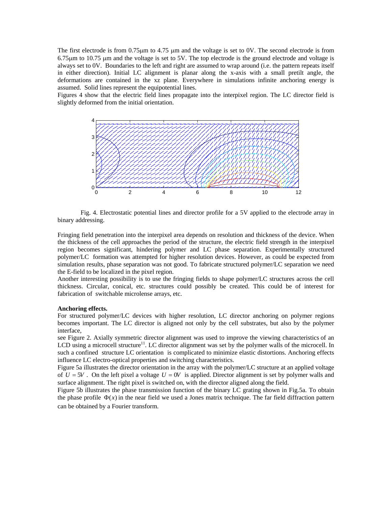The first electrode is from 0.75 km to 4.75 km and the voltage is set to 0V. The second electrode is from 6.75µm to 10.75 µm and the voltage is set to 5V. The top electrode is the ground electrode and voltage is always set to 0V. Boundaries to the left and right are assumed to wrap around (i.e. the pattern repeats itself in either direction). Initial LC alignment is planar along the x-axis with a small pretilt angle, the deformations are contained in the xz plane. Everywhere in simulations infinite anchoring energy is assumed. Solid lines represent the equipotential lines.

Figures 4 show that the electric field lines propagate into the interpixel region. The LC director field is slightly deformed from the initial orientation.



Fig. 4. Electrostatic potential lines and director profile for a 5V applied to the electrode array in binary addressing.

Fringing field penetration into the interpixel area depends on resolution and thickness of the device. When the thickness of the cell approaches the period of the structure, the electric field strength in the interpixel region becomes significant, hindering polymer and LC phase separation. Experimentally structured polymer/LC formation was attempted for higher resolution devices. However, as could be expected from simulation results, phase separation was not good. To fabricate structured polymer/LC separation we need the E-field to be localized in the pixel region.

Another interesting possibility is to use the fringing fields to shape polymer/LC structures across the cell thickness. Circular, conical, etc. structures could possibly be created. This could be of interest for fabrication of switchable microlense arrays, etc.

#### **Anchoring effects.**

For structured polymer/LC devices with higher resolution, LC director anchoring on polymer regions becomes important. The LC director is aligned not only by the cell substrates, but also by the polymer interface,

see Figure 2. Axially symmetric director alignment was used to improve the viewing characteristics of an LCD using a microcell structure<sup>11</sup>. LC director alignment was set by the polymer walls of the microcell. In such a confined structure LC orientation is complicated to minimize elastic distortions. Anchoring effects influence LC electro-optical properties and switching characteristics.

Figure 5a illustrates the director orientation in the array with the polymer/LC structure at an applied voltage of  $U = 5V$ . On the left pixel a voltage  $U = 0V$  is applied. Director alignment is set by polymer walls and surface alignment. The right pixel is switched on, with the director aligned along the field.

Figure 5b illustrates the phase transmission function of the binary LC grating shown in Fig.5a. To obtain the phase profile  $\Phi(x)$  in the near field we used a Jones matrix technique. The far field diffraction pattern can be obtained by a Fourier transform.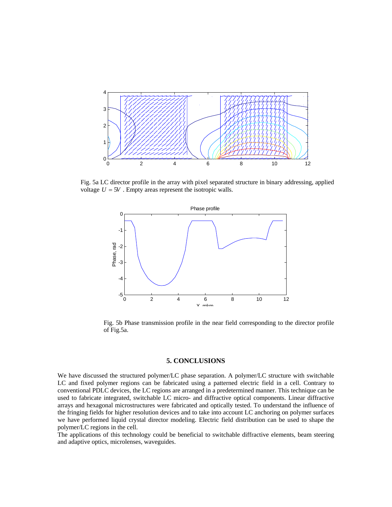

Fig. 5a LC director profile in the array with pixel separated structure in binary addressing, applied voltage  $U = 5V$ . Empty areas represent the isotropic walls.



Fig. 5b Phase transmission profile in the near field corresponding to the director profile of Fig.5a.

## **5. CONCLUSIONS**

We have discussed the structured polymer/LC phase separation. A polymer/LC structure with switchable LC and fixed polymer regions can be fabricated using a patterned electric field in a cell. Contrary to conventional PDLC devices, the LC regions are arranged in a predetermined manner. This technique can be used to fabricate integrated, switchable LC micro- and diffractive optical components. Linear diffractive arrays and hexagonal microstructures were fabricated and optically tested. To understand the influence of the fringing fields for higher resolution devices and to take into account LC anchoring on polymer surfaces we have performed liquid crystal director modeling. Electric field distribution can be used to shape the polymer/LC regions in the cell.

The applications of this technology could be beneficial to switchable diffractive elements, beam steering and adaptive optics, microlenses, waveguides.